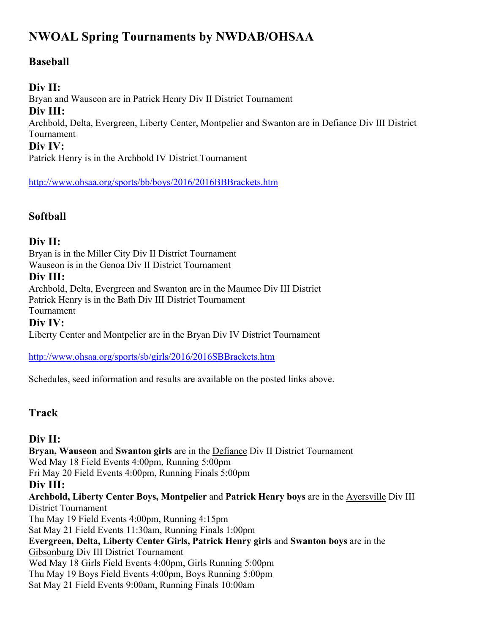# **NWOAL Spring Tournaments by NWDAB/OHSAA**

# **Baseball**

### **Div II:**

Bryan and Wauseon are in Patrick Henry Div II District Tournament **Div III:** Archbold, Delta, Evergreen, Liberty Center, Montpelier and Swanton are in Defiance Div III District Tournament **Div IV:**

Patrick Henry is in the Archbold IV District Tournament

http://www.ohsaa.org/sports/bb/boys/2016/2016BBBrackets.htm

# **Softball**

#### **Div II:**

Bryan is in the Miller City Div II District Tournament Wauseon is in the Genoa Div II District Tournament

#### **Div III:**

Archbold, Delta, Evergreen and Swanton are in the Maumee Div III District Patrick Henry is in the Bath Div III District Tournament Tournament

#### **Div IV:**

Liberty Center and Montpelier are in the Bryan Div IV District Tournament

http://www.ohsaa.org/sports/sb/girls/2016/2016SBBrackets.htm

Schedules, seed information and results are available on the posted links above.

# **Track**

#### **Div II:**

**Bryan, Wauseon** and **Swanton girls** are in the Defiance Div II District Tournament Wed May 18 Field Events 4:00pm, Running 5:00pm Fri May 20 Field Events 4:00pm, Running Finals 5:00pm **Div III: Archbold, Liberty Center Boys, Montpelier** and **Patrick Henry boys** are in the Ayersville Div III District Tournament Thu May 19 Field Events 4:00pm, Running 4:15pm Sat May 21 Field Events 11:30am, Running Finals 1:00pm **Evergreen, Delta, Liberty Center Girls, Patrick Henry girls** and **Swanton boys** are in the Gibsonburg Div III District Tournament Wed May 18 Girls Field Events 4:00pm, Girls Running 5:00pm Thu May 19 Boys Field Events 4:00pm, Boys Running 5:00pm Sat May 21 Field Events 9:00am, Running Finals 10:00am